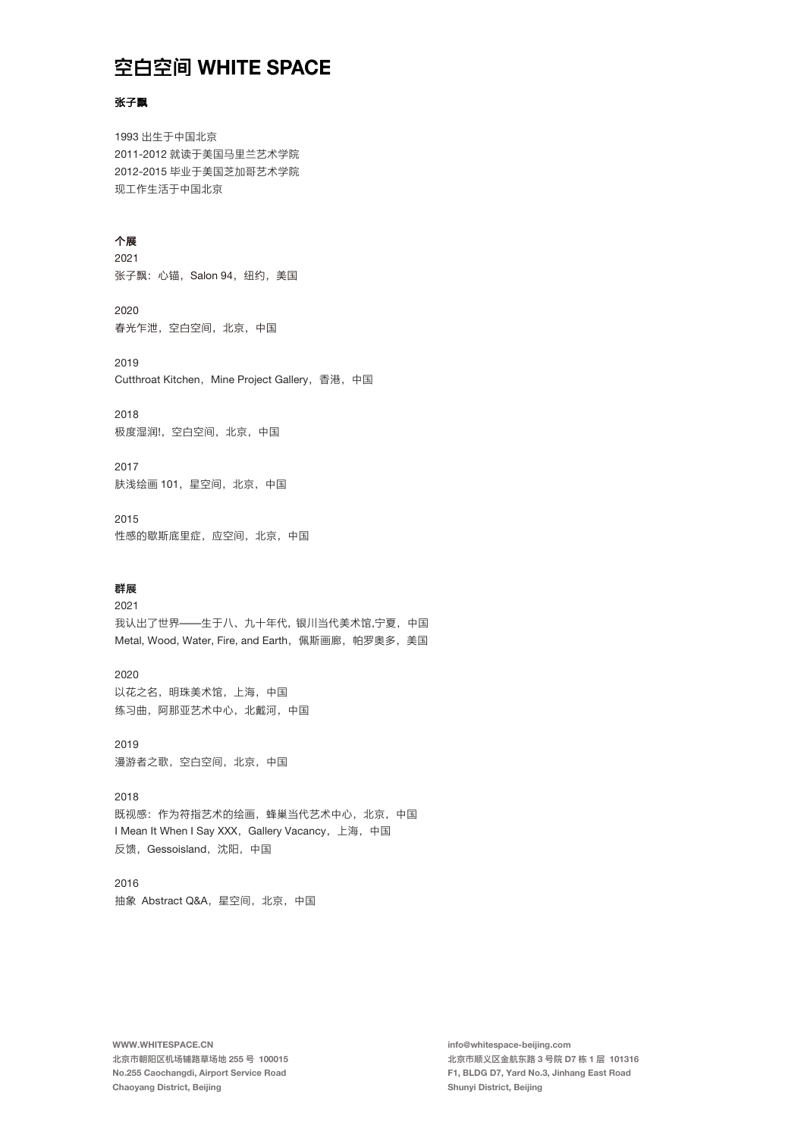## 空白空间 WHITE SPACE

### 张子飘

1993 出⽣于中国北京 2011-2012 就读于美国⻢⾥兰艺术学院 2012-2015 毕业于美国芝加哥艺术学院 现工作生活于中国北京

### 个展

2021 张子飘: 心锚, Salon 94, 纽约, 美国

2020 春光乍泄,空白空间,北京,中国

2019 Cutthroat Kitchen, Mine Project Gallery, 香港, 中国

2018 极度湿润!,空白空间,北京,中国

2017 肤浅绘画 101,星空间,北京,中国

2015 性感的歇斯底⾥症,应空间,北京,中国

### 群展

2021 我认出了世界——生于八、九十年代, 银川当代美术馆,宁夏, 中国 Metal, Wood, Water, Fire, and Earth, 佩斯画廊, 帕罗奥多, 美国

2020 以花之名,明珠美术馆,上海,中国 练习曲, 阿那亚艺术中心, 北戴河, 中国

2019 漫游者之歌,空⽩空间,北京,中国

2018 既视感:作为符指艺术的绘画,蜂巢当代艺术中心,北京,中国 I Mean It When I Say XXX, Gallery Vacancy, 上海, 中国 反馈,Gessoisland,沈阳,中国

2016 抽象 AbstractQ&A,星空间,北京,中国